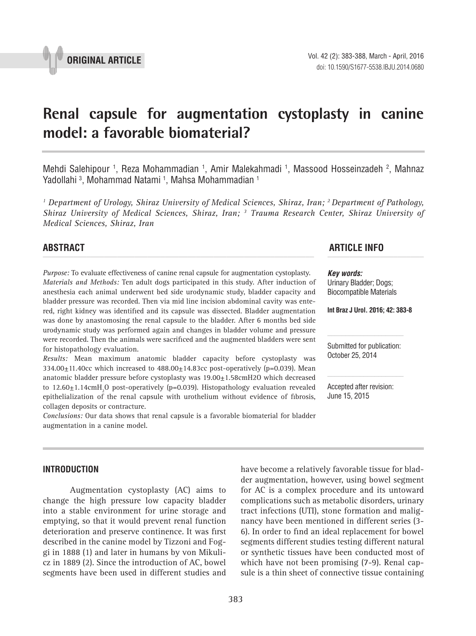

# **Renal capsule for augmentation cystoplasty in canine model: a favorable biomaterial? \_\_\_\_\_\_\_\_\_\_\_\_\_\_\_\_\_\_\_\_\_\_\_\_\_\_\_\_\_\_\_\_\_\_\_\_\_\_\_\_\_\_\_\_\_\_\_**

Mehdi Salehipour <sup>1</sup>, Reza Mohammadian <sup>1</sup>, Amir Malekahmadi <sup>1</sup>, Massood Hosseinzadeh <sup>2</sup>, Mahnaz Yadollahi <sup>3</sup>, Mohammad Natami <sup>1</sup>, Mahsa Mohammadian <sup>1</sup>

<sup>1</sup> Department of Urology, Shiraz University of Medical Sciences, Shiraz, Iran; <sup>2</sup> Department of Pathology, *Shiraz University of Medical Sciences, Shiraz, Iran; 3 Trauma Research Center, Shiraz University of Medical Sciences, Shiraz, Iran*

*Purpose:* To evaluate effectiveness of canine renal capsule for augmentation cystoplasty. *Materials and Methods:* Ten adult dogs participated in this study. After induction of anesthesia each animal underwent bed side urodynamic study, bladder capacity and bladder pressure was recorded. Then via mid line incision abdominal cavity was entered, right kidney was identified and its capsule was dissected. Bladder augmentation was done by anastomosing the renal capsule to the bladder. After 6 months bed side urodynamic study was performed again and changes in bladder volume and pressure were recorded. Then the animals were sacrificed and the augmented bladders were sent for histopathology evaluation.

*Results:* Mean maximum anatomic bladder capacity before cystoplasty was  $334.00+11.40c$ c which increased to  $488.00+14.83c$ c post-operatively (p=0.039). Mean anatomic bladder pressure before cystoplasty was 19.00+1.58cmH2O which decreased to 12.60±1.14cmH<sub>2</sub>O post-operatively (p=0.039). Histopathology evaluation revealed epithelialization of the renal capsule with urothelium without evidence of fibrosis, collagen deposits or contracture.

*Conclusions:* Our data shows that renal capsule is a favorable biomaterial for bladder augmentation in a canine model.

# **INTRODUCTION**

Augmentation cystoplasty (AC) aims to change the high pressure low capacity bladder into a stable environment for urine storage and emptying, so that it would prevent renal function deterioration and preserve continence. It was first described in the canine model by Tizzoni and Foggi in 1888 (1) and later in humans by von Mikulicz in 1889 (2). Since the introduction of AC, bowel segments have been used in different studies and

der augmentation, however, using bowel segment for AC is a complex procedure and its untoward complications such as metabolic disorders, urinary tract infections (UTI), stone formation and malignancy have been mentioned in different series (3- 6). In order to find an ideal replacement for bowel segments different studies testing different natural or synthetic tissues have been conducted most of which have not been promising (7-9). Renal capsule is a thin sheet of connective tissue containing

have become a relatively favorable tissue for blad-

# **ABSTRACT ARTICLE INFO** *\_\_\_\_\_\_\_\_\_\_\_\_\_\_\_\_\_\_\_\_\_\_\_\_\_\_\_\_\_\_\_\_\_\_\_\_\_\_\_\_\_\_\_\_\_\_\_\_\_\_\_\_\_\_\_\_\_\_\_\_\_\_ \_\_\_\_\_\_\_\_\_\_\_\_\_\_\_\_\_\_\_\_\_\_*

*Key words:* Urinary Bladder; Dogs; Biocompatible Materials

**Int Braz J Urol. 2016; 42: 383-8**

Submitted for publication: October 25, 2014

Accepted after revision: June 15, 2015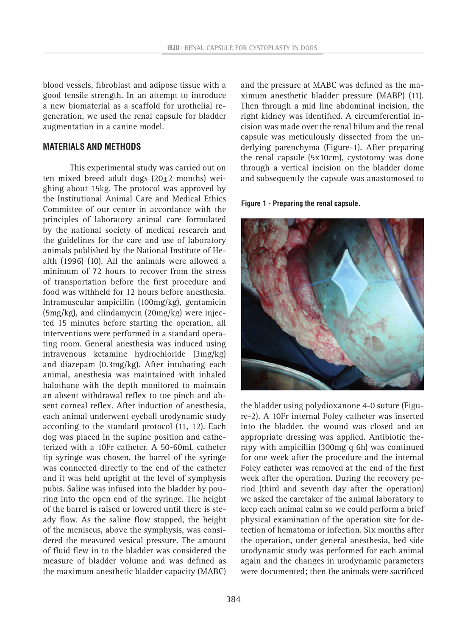blood vessels, fibroblast and adipose tissue with a good tensile strength. In an attempt to introduce a new biomaterial as a scaffold for urothelial regeneration, we used the renal capsule for bladder augmentation in a canine model.

# **MATERIALS AND METHODS**

This experimental study was carried out on ten mixed breed adult dogs  $(20\pm 2 \text{ months})$  weighing about 15kg. The protocol was approved by the Institutional Animal Care and Medical Ethics Committee of our center in accordance with the principles of laboratory animal care formulated by the national society of medical research and the guidelines for the care and use of laboratory animals published by the National Institute of Health (1996) (10). All the animals were allowed a minimum of 72 hours to recover from the stress of transportation before the first procedure and food was withheld for 12 hours before anesthesia. Intramuscular ampicillin (100mg/kg), gentamicin (5mg/kg), and clindamycin (20mg/kg) were injected 15 minutes before starting the operation, all interventions were performed in a standard operating room. General anesthesia was induced using intravenous ketamine hydrochloride (3mg/kg) and diazepam (0.3mg/kg). After intubating each animal, anesthesia was maintained with inhaled halothane with the depth monitored to maintain an absent withdrawal reflex to toe pinch and absent corneal reflex. After induction of anesthesia, each animal underwent eyeball urodynamic study according to the standard protocol (11, 12). Each dog was placed in the supine position and catheterized with a 10Fr catheter. A 50-60mL catheter tip syringe was chosen, the barrel of the syringe was connected directly to the end of the catheter and it was held upright at the level of symphysis pubis. Saline was infused into the bladder by pouring into the open end of the syringe. The height of the barrel is raised or lowered until there is steady flow. As the saline flow stopped, the height of the meniscus, above the symphysis, was considered the measured vesical pressure. The amount of fluid flew in to the bladder was considered the measure of bladder volume and was defined as the maximum anesthetic bladder capacity (MABC)

and the pressure at MABC was defined as the maximum anesthetic bladder pressure (MABP) (11). Then through a mid line abdominal incision, the right kidney was identified. A circumferential incision was made over the renal hilum and the renal capsule was meticulously dissected from the underlying parenchyma (Figure-1). After preparing the renal capsule (5x10cm), cystotomy was done through a vertical incision on the bladder dome and subsequently the capsule was anastomosed to

#### **Figure 1 - Preparing the renal capsule.**



the bladder using polydioxanone 4-0 suture (Figure-2). A 10Fr internal Foley catheter was inserted into the bladder, the wound was closed and an appropriate dressing was applied. Antibiotic therapy with ampicillin (300mg q 6h) was continued for one week after the procedure and the internal Foley catheter was removed at the end of the first week after the operation. During the recovery period (third and seventh day after the operation) we asked the caretaker of the animal laboratory to keep each animal calm so we could perform a brief physical examination of the operation site for detection of hematoma or infection. Six months after the operation, under general anesthesia, bed side urodynamic study was performed for each animal again and the changes in urodynamic parameters were documented; then the animals were sacrificed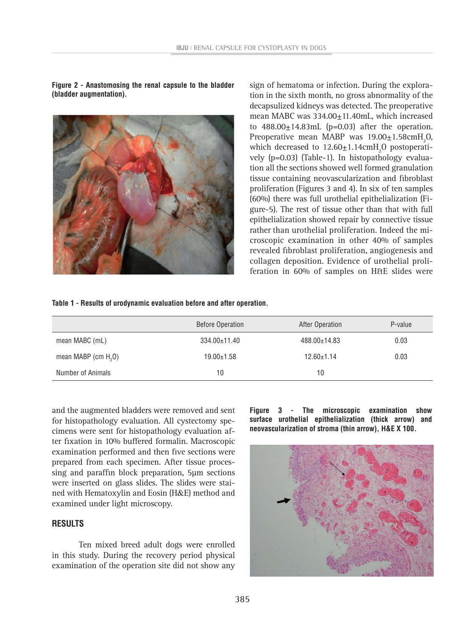**Figure 2 - Anastomosing the renal capsule to the bladder (bladder augmentation).**



sign of hematoma or infection. During the exploration in the sixth month, no gross abnormality of the decapsulized kidneys was detected. The preoperative mean MABC was 334.00 $\pm$ 11.40mL, which increased to  $488.00 \pm 14.83$  mL (p=0.03) after the operation. Preoperative mean MABP was  $19.00 \pm 1.58$  cmH<sub>2</sub>O, which decreased to  $12.60 \pm 1.14$ cm $H_2O$  postoperatively (p=0.03) (Table-1). In histopathology evaluation all the sections showed well formed granulation tissue containing neovascularization and fibroblast proliferation (Figures 3 and 4). In six of ten samples (60%) there was full urothelial epithelialization (Figure-5). The rest of tissue other than that with full epithelialization showed repair by connective tissue rather than urothelial proliferation. Indeed the microscopic examination in other 40% of samples revealed fibroblast proliferation, angiogenesis and collagen deposition. Evidence of urothelial proliferation in 60% of samples on H&E slides were

#### **Table 1 - Results of urodynamic evaluation before and after operation.**

|                       | <b>Before Operation</b> | After Operation  | P-value |
|-----------------------|-------------------------|------------------|---------|
| mean MABC (mL)        | $334.00 \pm 11.40$      | 488.00±14.83     | 0.03    |
| mean MABP (cm $H20$ ) | $19.00 \pm 1.58$        | $12.60 \pm 1.14$ | 0.03    |
| Number of Animals     | 10                      | 10               |         |

and the augmented bladders were removed and sent for histopathology evaluation. All cystectomy specimens were sent for histopathology evaluation after fixation in 10% buffered formalin. Macroscopic examination performed and then five sections were prepared from each specimen. After tissue processing and paraffin block preparation, 5µm sections were inserted on glass slides. The slides were stained with Hematoxylin and Eosin (H&E) method and examined under light microscopy.

# **RESULTS**

Ten mixed breed adult dogs were enrolled in this study. During the recovery period physical examination of the operation site did not show any **Figure 3 - The microscopic examination show surface urothelial epithelialization (thick arrow) and neovascularization of stroma (thin arrow), H&E X 100.**

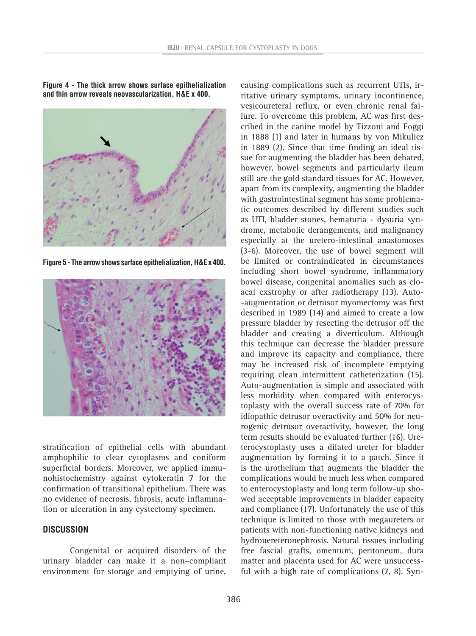**Figure 4 - The thick arrow shows surface epithelialization and thin arrow reveals neovascularization, H&E x 400.**

**Figure 5 - The arrow shows surface epithelialization, H&E x 400.**



stratification of epithelial cells with abundant amphophilic to clear cytoplasms and coniform superficial borders. Moreover, we applied immunohistochemistry against cytokeratin 7 for the confirmation of transitional epithelium. There was no evidence of necrosis, fibrosis, acute inflammation or ulceration in any cystectomy specimen.

# **DISCUSSION**

Congenital or acquired disorders of the urinary bladder can make it a non–compliant environment for storage and emptying of urine,

causing complications such as recurrent UTIs, irritative urinary symptoms, urinary incontinence, vesicoureteral reflux, or even chronic renal failure. To overcome this problem, AC was first described in the canine model by Tizzoni and Foggi in 1888 (1) and later in humans by von Mikulicz in 1889 (2). Since that time finding an ideal tissue for augmenting the bladder has been debated, however, bowel segments and particularly ileum still are the gold standard tissues for AC. However, apart from its complexity, augmenting the bladder with gastrointestinal segment has some problematic outcomes described by different studies such as UTI, bladder stones, hematuria - dysuria syndrome, metabolic derangements, and malignancy especially at the uretero-intestinal anastomoses (3-6). Moreover, the use of bowel segment will be limited or contraindicated in circumstances including short bowel syndrome, inflammatory bowel disease, congenital anomalies such as cloacal exstrophy or after radiotherapy (13). Auto- -augmentation or detrusor myomectomy was first described in 1989 (14) and aimed to create a low pressure bladder by resecting the detrusor off the bladder and creating a diverticulum. Although this technique can decrease the bladder pressure and improve its capacity and compliance, there may be increased risk of incomplete emptying requiring clean intermittent catheterization (15). Auto-augmentation is simple and associated with less morbidity when compared with enterocystoplasty with the overall success rate of 70% for idiopathic detrusor overactivity and 50% for neurogenic detrusor overactivity, however, the long term results should be evaluated further (16). Ureterocystoplasty uses a dilated ureter for bladder augmentation by forming it to a patch. Since it is the urothelium that augments the bladder the complications would be much less when compared to enterocystoplasty and long term follow-up showed acceptable improvements in bladder capacity and compliance (17). Unfortunately the use of this technique is limited to those with megaureters or patients with non-functioning native kidneys and hydrouereteronephrosis. Natural tissues including free fascial grafts, omentum, peritoneum, dura matter and placenta used for AC were unsuccessful with a high rate of complications (7, 8). Syn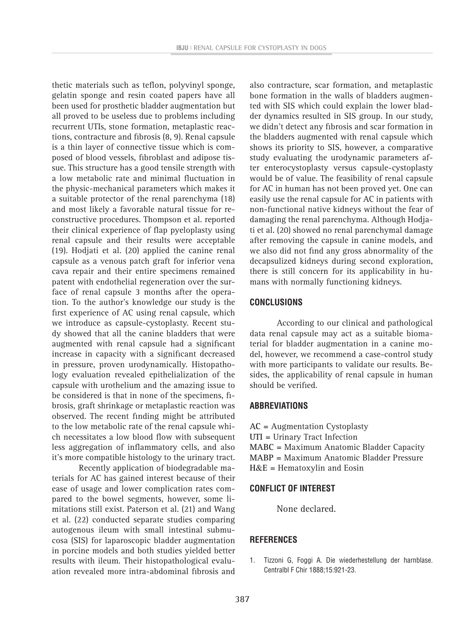thetic materials such as teflon, polyvinyl sponge, gelatin sponge and resin coated papers have all been used for prosthetic bladder augmentation but all proved to be useless due to problems including recurrent UTIs, stone formation, metaplastic reactions, contracture and fibrosis (8, 9). Renal capsule is a thin layer of connective tissue which is composed of blood vessels, fibroblast and adipose tissue. This structure has a good tensile strength with a low metabolic rate and minimal fluctuation in the physic-mechanical parameters which makes it a suitable protector of the renal parenchyma (18) and most likely a favorable natural tissue for reconstructive procedures. Thompson et al. reported their clinical experience of flap pyeloplasty using renal capsule and their results were acceptable (19). Hodjati et al. (20) applied the canine renal capsule as a venous patch graft for inferior vena cava repair and their entire specimens remained patent with endothelial regeneration over the surface of renal capsule 3 months after the operation. To the author's knowledge our study is the first experience of AC using renal capsule, which we introduce as capsule-cystoplasty. Recent study showed that all the canine bladders that were augmented with renal capsule had a significant increase in capacity with a significant decreased in pressure, proven urodynamically. Histopathology evaluation revealed epithelialization of the capsule with urothelium and the amazing issue to be considered is that in none of the specimens, fibrosis, graft shrinkage or metaplastic reaction was observed. The recent finding might be attributed to the low metabolic rate of the renal capsule which necessitates a low blood flow with subsequent less aggregation of inflammatory cells, and also it's more compatible histology to the urinary tract.

Recently application of biodegradable materials for AC has gained interest because of their ease of usage and lower complication rates compared to the bowel segments, however, some limitations still exist. Paterson et al. (21) and Wang et al. (22) conducted separate studies comparing autogenous ileum with small intestinal submucosa (SIS) for laparoscopic bladder augmentation in porcine models and both studies yielded better results with ileum. Their histopathological evaluation revealed more intra-abdominal fibrosis and

also contracture, scar formation, and metaplastic bone formation in the walls of bladders augmented with SIS which could explain the lower bladder dynamics resulted in SIS group. In our study, we didn't detect any fibrosis and scar formation in the bladders augmented with renal capsule which shows its priority to SIS, however, a comparative study evaluating the urodynamic parameters after enterocystoplasty versus capsule-cystoplasty would be of value. The feasibility of renal capsule for AC in human has not been proved yet. One can easily use the renal capsule for AC in patients with non-functional native kidneys without the fear of damaging the renal parenchyma. Although Hodjati et al. (20) showed no renal parenchymal damage after removing the capsule in canine models, and we also did not find any gross abnormality of the decapsulized kidneys during second exploration, there is still concern for its applicability in humans with normally functioning kidneys.

#### **CONCLUSIONS**

According to our clinical and pathological data renal capsule may act as a suitable biomaterial for bladder augmentation in a canine model, however, we recommend a case-control study with more participants to validate our results. Besides, the applicability of renal capsule in human should be verified.

## **Abbreviations**

**AC =** Augmentation Cystoplasty **UTI =** Urinary Tract Infection **MABC =** Maximum Anatomic Bladder Capacity **MABP =** Maximum Anatomic Bladder Pressure **H**&**E =** Hematoxylin and Eosin

## **CONFLICT OF INTEREST**

None declared.

## **REFERENCES**

1. Tizzoni G, Foggi A. Die wiederhestellung der harnblase. Centralbl F Chir 1888;15:921-23.